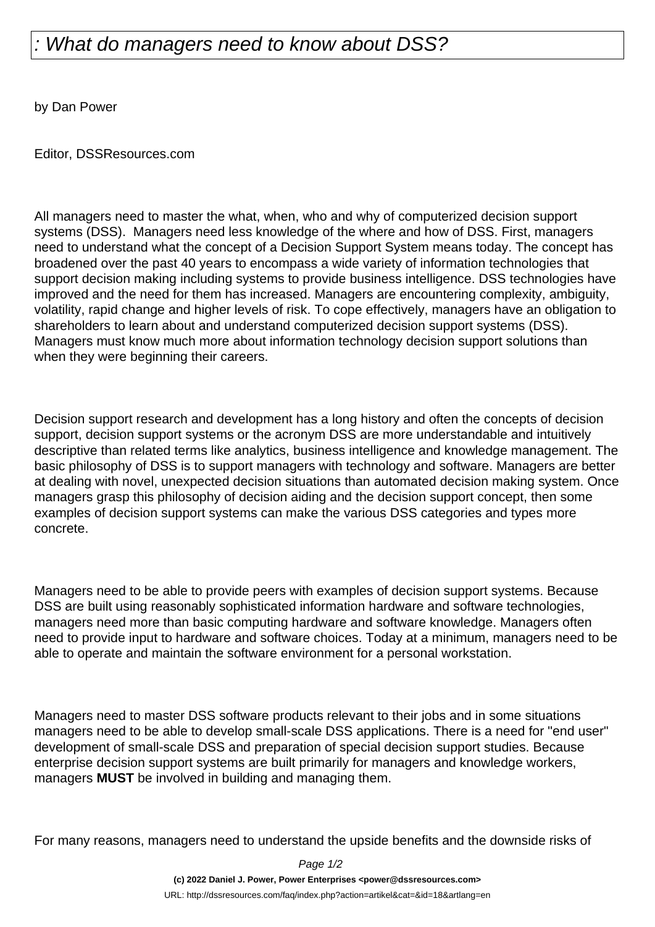## What do managers need to know about DSS?

by Dan Power

Editor, DSSResources.com

All managers need to master the what, when, who and why of computerized decision support systems (DSS). Managers need less knowledge of the where and how of DSS. First, managers need to understand what the concept of a Decision Support System means today. The concept has broadened over the past 40 years to encompass a wide variety of information technologies that support decision making including systems to provide business intelligence. DSS technologies have improved and the need for them has increased. Managers are encountering complexity, ambiguity, volatility, rapid change and higher levels of risk. To cope effectively, managers have an obligation to shareholders to learn about and understand computerized decision support systems (DSS). Managers must know much more about information technology decision support solutions than when they were beginning their careers.

Decision support research and development has a long history and often the concepts of decision support, decision support systems or the acronym DSS are more understandable and intuitively descriptive than related terms like analytics, business intelligence and knowledge management. The basic philosophy of DSS is to support managers with technology and software. Managers are better at dealing with novel, unexpected decision situations than automated decision making system. Once managers grasp this philosophy of decision aiding and the decision support concept, then some examples of decision support systems can make the various DSS categories and types more concrete.

Managers need to be able to provide peers with examples of decision support systems. Because DSS are built using reasonably sophisticated information hardware and software technologies, managers need more than basic computing hardware and software knowledge. Managers often need to provide input to hardware and software choices. Today at a minimum, managers need to be able to operate and maintain the software environment for a personal workstation.

Managers need to master DSS software products relevant to their jobs and in some situations managers need to be able to develop small-scale DSS applications. There is a need for "end user" development of small-scale DSS and preparation of special decision support studies. Because enterprise decision support systems are built primarily for managers and knowledge workers, managers **MUST** be involved in building and managing them.

For many reasons, managers need to understand the upside benefits and the downside risks of

Page 1/2

**(c) 2022 Daniel J. Power, Power Enterprises <power@dssresources.com>**

URL: http://dssresources.com/faq/index.php?action=artikel&cat=&id=18&artlang=en